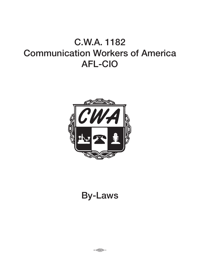# C.W.A. 1182 Communication Workers of America AFL-CIO



# By-Laws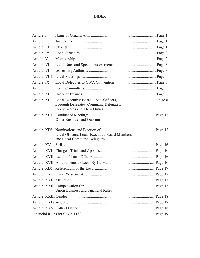## INDEX

| Article I    |                                                                               |  |
|--------------|-------------------------------------------------------------------------------|--|
| Article II   |                                                                               |  |
| Article III  |                                                                               |  |
| Article IV   |                                                                               |  |
| Article V    |                                                                               |  |
| Article VI   |                                                                               |  |
| Article VII  |                                                                               |  |
| Article VIII |                                                                               |  |
| Article IX   |                                                                               |  |
| Article X    |                                                                               |  |
| Article XI   |                                                                               |  |
| Article XII  | Borough Delegates, Command Delegates,<br><b>Job Stewards and Their Duties</b> |  |
|              | Other Business and Quorum                                                     |  |
|              | Local Officers, Local Executive Board Members<br>and Local Command Delegates  |  |
| Article XV   |                                                                               |  |
|              |                                                                               |  |
|              |                                                                               |  |
|              |                                                                               |  |
|              |                                                                               |  |
|              |                                                                               |  |
|              |                                                                               |  |
|              | Union Business and Financial Rules                                            |  |
|              |                                                                               |  |
|              |                                                                               |  |
|              |                                                                               |  |
|              |                                                                               |  |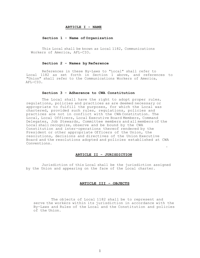#### **ARTICLE I - NAME**

#### **Section 1 - Name of Organization**

This Local shall be known as Local 1182, Communications Workers of America, AFL-CIO.

#### **Section 2 - Names by Reference**

References in these By-Laws to "Local" shall refer to Local 1182 as set forth in Section 1 above, and references to "Union" shall refer to the Communications Workers of America, AFL-CIO.

#### **Section 3 - Adherence to CWA Constitution**

The Local shall have the right to adopt proper rules, regulations, policies and practices as are deemed necessary or appropriate to fulfill the purposes, for which the Local was chartered, provided such rules, regulations, policies and practices are not in conflict with the CWA Constitution. The Local, Local Officers, Local Executive Board Members, Command Delegates, Job Stewards, Committee members and all members of the Local shall recognize, observe and be bound by the CWA Constitution and inter-operations thereof rendered by the President or other appropriate Officers of the Union, the resolutions, decisions and directives of the Union Executive Board and the resolutions adopted and policies established at CWA Conventions.

#### **ARTICLE II - JURISDICTION**

Jurisdiction of this Local shall be the jurisdiction assigned by the Union and appearing on the face of the Local charter.

#### **ARTICLE III - OBJECTS**

The objects of Local 1182 shall be to represent and serve the workers within its jurisdiction in accordance with the By-Laws and Rules of the Local and the Constitution and policies of the Union.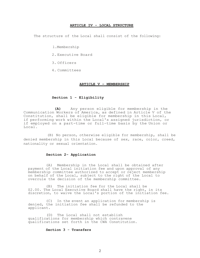#### **ARTICLE IV - LOCAL STRUCTURE**

The structure of the Local shall consist of the following:

- l.Membership
- 2. Executive Board
- 3. Officers
- 4. Committees

#### **ARTICLE V – MEMBERSHIP**

#### **Section 1 - Eligibility**

**(A)** Any person eligible for membership in the Communication Workers of America, as defined in Article V of the Constitution, shall be eligible for membership in this Local, if performing work within the Local's assigned jurisdiction, or if employed on a part-time or full-time basis by the Union or Local.

(B) No person, otherwise eligible for membership, shall be denied membership in this Local because of sex, race, color, creed, nationality or sexual orientation.

#### **Section 2- Application**

(A) Membership in the Local shall be obtained after payment of the Local initiation fee and upon approval of any membership committee authorized to accept or reject membership on behalf of the Local, subject to the right of the Local to overrule the decision of the membership committee.

(B) The initiation fee for the Local shall be \$2.00. The Local Executive Board shall have the right, in its discretion, to waive the Local's portion of the initiation fee.

(C) In the event an application for membership is denied, the initiation fee shall be refunded to the applicant.

(D) The Local shall not establish qualifications for membership which contravene qualifications set forth in the CWA Constitution.

## **Section 3 - Transfers**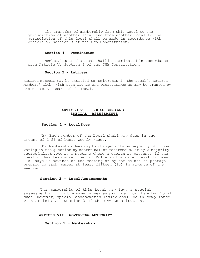The transfer of membership from this Local to the jurisdiction of another local and from another local to the jurisdiction of this Local shall be made in accordance with Article V, Section 3 of the CWA Constitution.

#### **Section 4 - Termination**

Membership in the Local shall be terminated in accordance with Article V, Section 4 of the CWA Constitution.

## **Section 5 - Retirees**

Retired members may be entitled to membership in the Local's Retired Members' Club, with such rights and prerogatives as may be granted by the Executive Board of the Local.

#### **ARTICLE VI - LOCAL DUES AND SPECIAL ASSESSMENTS**

#### **Section 1 - Local Dues**

(A) Each member of the Local shall pay dues in the amount of 1.5% of basic weekly wages.

(B) Membership dues may be changed only by majority of those voting on the question by secret ballot referendum, or by a majority secret ballot vote in a meeting where a quorum is present, if the question has been advertised on Bulletin Boards at least fifteen (15) days in advance of the meeting or by notice mailed postage prepaid to each member at least fifteen (15) in advance of the meeting.

#### **Section 2 - Local Assessments**

 The membership of this Local may levy a special assessment only in the same manner as provided for changing Local dues. However, special assessments levied shall be in compliance with Article VI, Section 3 of the CWA Constitution.

#### **ARTICLE VII – GOVERNING AUTHORITY**

**Section 1 - Membership**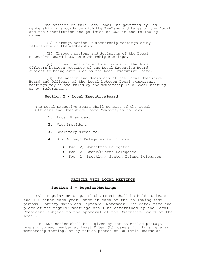The affairs of this Local shall be governed by its membership in accordance with the By-Laws and Rules of the Local and the Constitution and policies of CWA in the following manner.

(A) Through action in membership meetings or by referendum of the membership.

(B) Through actions and decisions of the Local Executive Board between membership meetings.

(C) Through actions and decisions of the Local Officers between meetings of the Local Executive Board, subject to being overruled by the Local Executive Board.

(D) The action and decisions of the Local Executive Board and Officers of the Local between Local membership meetings may be overruled by the membership in a Local meeting or by referendum.

## **Section 2 - Local Executive Board**

The Local Executive Board shall consist of the Local Officers and Executive Board Members, as follows:

- **1.** Local President
- **2.** Vice President
- **3.** Secretary-Treasurer
- **4.** Six Borough Delegates as follows:
	- Two (2) Manhattan Delegates
	- Two (2) Bronx/Queens Delegates
	- Two (2) Brooklyn/ Staten Island Delegates

#### **ARTICLE VIII LOCAL MEETINGS**

#### **Section 1 - Regular Meetings**

(A) Regular meetings of the Local shall be held at least two (2) times each year, once in each of the following time periods: January-March and September-November. The date, time and place of the regular meetings shall be determined by the Local President subject to the approval of the Executive Board of the Local.

(B) Due notice shall be given by notice mailed postage prepaid to each member at least Fifteen (15) days prior to a regular membership meeting, or by notice posted on Bulletin Boards at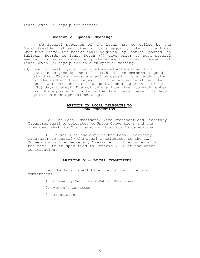least Seven (7) days prior thereto.

#### **Section 2- Special Meetings**

(A) Special meetings of the Local may be called by the Local President at any time, or by a majority vote of the Local Executive Board. Due notice shall be given by notice posted on Bulletin Boards at least Seven (7) days prior to such special<br>meeting, or by notice mailed postage prepaid to each member at meeting, or by notice mailed postage prepaid to each member least Seven (7) days prior to such special meeting.

(B) Special meetings of the Local may also be called by a petition signed by one-fifth (1/5) of the members in good standing. Each signature shall be dated in the handwriting of the member. Upon receipt of the proper petition, the Local Officers shall call a special meeting within thirty (30) days thereof. Due notice shall be given to each member by notice posted on bulletin boards at least seven (7) days prior to such special meeting.

## **ARTICLE IX LOCAL DELEGATES TO CWA CONVENTION**

(A) The Local President, Vice President and Secretary-Treasurer shall be delegates to Union Conventions and the President shall be Chairperson of the Local's delegation.

(B) It shall be the duty of the Local Secretary-Treasurer to certify the Local's delegates to the CWA Convention to the Secretary-Treasurer of the Union within the time limits specified in Article VIII of the Union Constitution.

#### **ARTICLE X – LOCAL COMMITTEES**

(A) The Local shall have the following regular committees:

- 1. Community Services & Public Relations
- 2. Women's Committee
- 3. Education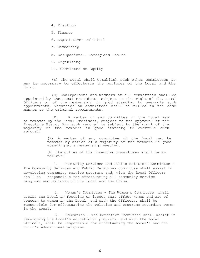- 4. Election
- 5. Finance
- 6. Legislative- Political
- 7. Membership
- 8. Occupational, Safety and Health
- 9. Organizing
- 10. Committee on Equity

(B) The Local shall establish such other committees as may be necessary to effectuate the policies of the Local and the Union.

(C) Chairpersons and members of all committees shall be appointed by the Local President, subject to the right of the Local Officers or of the membership in good standing to overrule such appointments. Vacancies on committees shall be filled in the same manner as the original appointments.

(D) A member of any committee of the Local may be removed by the Local President, subject to the approval of the Executive Board. Any such removal is subject to the right of the majority of the members in good standing to overrule such removal.

> (E) A member of any committee of the Local may be removed by action of a majority of the members in good standing at a membership meeting.

 (F) The duties of the foregoing committees shall be as follows:

 1. Community Services and Public Relations Committee - The Community Services and Public Relations Committee shall assist in developing community service programs and, with the Local Officers shall be responsible for effectuating all community service programs and policies of the Local and the Union.

 2. Woman's Committee - The Women's Committee shall assist the Local in focusing on issues that affect women and are of concern to women in the Local, and with the Officers, shall be responsible for effectuating the policies and programs regarding women in the Local.

 3. Education - The Education Committee shall assist in developing the Local's educational programs, and with the Local Officers, shall be responsible for effectuating the Local's and the Union's educational programs.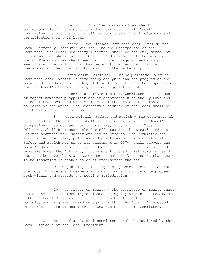4. Election - The Election Committee shall be responsible for the conduct and supervision of all Local nominations, elections and certifications thereof, and referenda and certifications of this Local.

 5. Finance - The Finance Committee shall include the Local Secretary-Treasurer who shall be the Chairperson of the Committee. The Local Secretary-Treasurer shall be the only member of this Committee who is a Local Officer and a member of the Executive Board. The Committee shall meet prior to all regular membership meetings at the call of its chairperson to review the financial operations of the Local and to report to the membership.

 6. Legislative/Political - The Legislative/Political Committee shal1 assist in deve1oping and pursuing the program of the Local and the Union in the Legislative field. It shall be responsible for the Local's Program to register each qualified voter.

 7. Membership - The Membership Committee shall accept or reject membership applications in accordance with the By-Laws and Rules of the Local and with Article V of the CWA Constitution and policies of the Union. The Secretary/Treasurer of the Local shall be the Chairperson of this Committee.

8. Occupational, Safety and Health - The Occupational, Safety and Health Committee shall assist in developing the Local's occupational, safety and health programs, and, with the Local Officers, shall be responsible for effectuating the Local's and the Union's occupational, safety and health program. The Committee shall also review the rules, policies and practices of the Occupational, Safety and Health Act since its enactment in 1970, shall support the Local's Unions efforts to secure adequate inspection services and programs under the Act, and, in the event the administration of said Act is taken over by State Government, shall work to insure that there is no lessening of standards or of endorsement thereof.

 9. Organizing - The Organizing Committee shall assist the Local Officers and members in organizing all non-union employees, both within and outside the Local's jurisdiction.

 10. Committee on Equity – The Committee on Equity shall assist the Local on focusing on issues of equity within the Local, and with the Local Officers, shall be responsible for effectuating the policies and programs regarding equity within the Local. An elected Officer of the Local shall be the Chairperson of this Committee.

 (G) Duties of additional committees shall be assigned by the Local Officers or the Local President.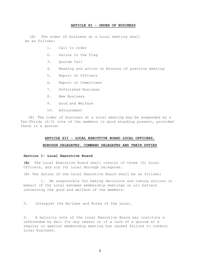#### **ARTICLE XI - ORDER OF BUSINESS**

(A) The order of business at a Local meeting shall be as follows:

- 1. Call to order
- 2. Salute to the Flag
- 3. Quorum Call
- 4. Reading and action on Minutes of previous meeting
- 5. Report of Officers
- 6. Report of Committees
- 7. Unfinished Business
- 8. New Business
- 9. Good and Welfare
- 10. Adjournment

(B) The order of business at a Local meeting may be suspended by a Two-Thirds (2/3) vote of the members in good standing present, provided there is a quorum.

#### **ARTICLE XII - LOCAL EXECUTIVE BOARD LOCAL OFFICERS,**

## **BOROUGH DELEGATES, COMMAND DELEGATES AND THEIR DUTIES**

#### **Section 1- Local Executive Board**

**(A)** The Local Executive Board shall consist of three (3) Local Officers, and six (6) Local Borough Delegates.

(B) The duties of the Local Executive Board shall be as follows:

 1. Be responsible for making decisions and taking actions in behalf of the Local between membership meetings on all matters concerning the good and welfare of the members.

2. Interpret the By-Laws and Rules of the Local.

3. A majority vote of the Local Executive Board may institute a referendum by mail for any reason or if a lack of a quorum at a regular or special membership meeting has caused failure to conduct Local business.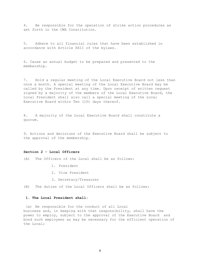4. Be responsible for the operation of strike action procedures as set forth in the CWA Constitution.

5. Adhere to all financial rules that have been established in accordance with Article XXII of the bylaws.

6. Cause an annual budget to be prepared and presented to the membership.

7. Hold a regular meeting of the Local Executive Board not less than once a month. A special meeting of the Local Executive Board may be called by the President at any time. Upon receipt of written request signed by a majority of the members of the Local Executive Board, the Local President shall also call a special meeting of the Local Executive Board within Ten (10) days thereof.

8. A majority of the Local Executive Board shall constitute a quorum.

9. Actions and decisions of the Executive Board shall be subject to the approval of the membership.

#### **Section 2 - Local Officers**

- (A) The Officers of the Local shall be as follows:
	- 1. President
	- 2. Vice President
	- 3. Secretary/Treasurer

(B) The duties of the Local Officers shall be as follows:

## **1. The Local President shall:**

(a) Be responsible for the conduct of all Local business and, in keeping with that responsibility, shall have the power to employ, subject to the approval of the Executive Board and bond such employees as may be necessary for the efficient operation of the Local;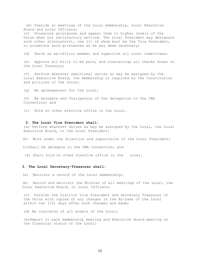(b) Preside at meetings of the Local membership, Local Executive Board and Local Officers;

Prosecute grievances and appeal them to higher levels of the Union when not satisfactory settled. The Local President may designate such other alternate(s), one (1) of whom must be the Vice President, to prosecute said grievances as he may deem necessary;

(d) Serve as ex-officio member and supervise all Local committees;

(e) Approve all bills to be paid, and countersign all checks drawn on the Local Treasury;

(f) Perform whatever additional duties as may be assigned by the Local Executive Board, the membership or required by the Constitution and policies of the Union;

(g) Be spokesperson for the Local;

(h) Be Delegate and Chairperson of the delegation to the CWA Convention; and

(i) Hold no other elective office in the Local.

#### **2. The Local Vice President shall:**

(a) Perform whatever duties as may be assigned by the Local, the Local Executive Board, or the Local President;

(b) Work under the direction and supervision of the Local President;

(c)Shall be delegate to the CWA Convention; and

(d) Shall hold no other elective office in the Local.

#### **3. The Local Secretary-Treasurer shall:**

(a)Maintain a record of the Local membership;

(b) Record and maintain the Minutes of all meetings of the Local, the Local Executive Board, or Local Officers;

(c) Furnish the District Vice President and Secretary Treasurer of the Union with copies of any changes in the By-Laws of the Local within ten (10) days after such changes are made;

(d) Be custodian of all assets of the Local;

(e)Report to each membership meeting and Executive Board meeting on the financial status of the Local;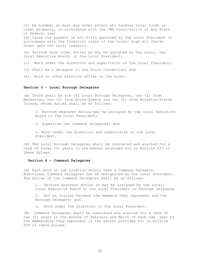(f) Be bonded, as must any other person who handles Local funds or other property, in accordance with the CWA Constitution or any State or Federal Law;

(g) Cause the payment of all bills approved by the Local President in accordance with the financial rules of the Local; sign all checks drawn upon the Local treasury.

(h) Perform such other duties as may be assigned by the Local, the Local Executive Board, or the Local President;

- (i) Work under the direction and supervision of the Local President;
- (j) Shall be a delegate to the Union Convention; and
- (k) Hold no other elective office in the Local.

#### **Section 3 - Local Borough Delegates**

(A) There shall be six (6) Local Borough Delegates, two (2) from Manhattan, two (2) from Bronx/Queens and two (2) from Brooklyn/Staten Island, whose duties shall be as follows:

1. Perform whatever duties may be assigned by the Local Executive Board or the Local President;

2. Supervise the Command Delegates; and

3. Work under the direction and supervision of the Local President.

(B) The Local Borough Delegates shall be nominated and elected for a term of three (3) years in the manner provided for in Article XIV of these bylaws.

#### **Section 4 – Command Delegates**

(A) Each work or job location should have a Command Delegate. Additional Command Delegates can be designated by the Local President. The duties of the Command Delegates shall be as follows:

1. Perform whatever duties as may be assigned by the Local, Local Executive Board or the Local President or Borough Delegate;

2. Act as liaison between the members they represent and the Borough Delegate; and

3. Work under the direction of the Local President.

(B) Command Delegates shall be nominated and elected for a term of two (2) years in the months of February and March of each odd year by the membership they represent in the manner provided for in Article XIV of these bylaws.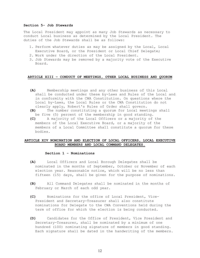#### **Section 5- Job Stewards**

The Local President may appoint as many Job Stewards as necessary to conduct Local business as determined by the Local President. The duties of the Job Stewards shall be as follows:

- 1. Perform whatever duties as may be assigned by the Local, Local Executive Board, or the President or Local Chief Delegate;
- 2. Work under the direction of the Local President.
- 3. Job Stewards may be removed by a majority vote of the Executive Board.

#### **ARTICLE XIII – CONDUCT OF MEETINGS, OTHER LOCAL BUSINESS AND QUORUM**

- **(A)** Membership meetings and any other business of this Local shall be conducted under these by-Laws and Rules of the Local and in conformity with the CWA Constitution. On questions where the Local by-Laws, the Local Rules or the CWA Constitution do not clearly apply, Robert's Rules of Order shall govern.
- **(B)** The number constituting a quorum for Local meetings shall be five (5) percent of the membership in good standing.
- **(C)** A majority of the Loca1 Officers or a majority of the members of the Loca1 Executive Board, or a majority of the members of a Loca1 Committee sha11 constitute a quorum for these bodies.

## **ARTICLE XIV NOMINATION AND ELECTION OF LOCAL OFFICERS, LOCAL EXECUTIVE BOARD MEMBERS AND LOCAL COMMAND DELEGATES.**

## **Section 1 - Nominations**

- **(A)** Loca1 Officers and Loca1 Borough Delegates shal1 be nominated in the months of September, October or November of each e1ection year. Reasonable notice, which will be no less than fifteen (15) days, sha11 be given for the purpose of nominations.
- **(B)** All Command Delegates shall be nominated in the months of February or March of each odd year.
- **(C)** Nominations for the office of Loca1 President, Vice-President and Secretary-Treasurer sha11 a1so constitute nominations for De1egate to the CWA Conventions he1d during the term of office for which the e1ection is being conducted.
- **(D)** Candidates for the Office of President, Vice President and Secretary-Treasurer, shall be nominated by a minimum of one hundred (100) nominating signature of members in good standing. Each signature shall be dated in the handwriting of the members.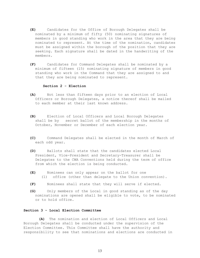- **(E)** Candidates for the Office of Borough Delegates shall be nominated by a minimum of fifty (50) nominating signatures of members in good standing who work in the area that they are being nominated to represent. At the time of the nomination, candidates must be assigned within the borough of the position that they are seeking. Each signature shall be dated in the handwriting of the members.
- **(F)** Candidates for Command Delegates shall be nominated by a minimum of fifteen (15) nominating signature of members in good standing who work in the Command that they are assigned to and that they are being nominated to represent.

## **Section 2 - E1ection**

- **(A)** Not less than fifteen days prior to an election of Local Officers or Borough Delegates, a notice thereof shall be mailed to each member at their last known address.
- **(B)** E1ection of Loca1 Officers and Local Borough Delegates sha11 be by secret ba11ot of the membership in the months of October, November or December of each election year.
- **(C)** Command Delegates shall be elected in the month of March of each odd year.
- **(D)** Ba1lots sha1l state that the candidates elected Local President, Vice-President and Secretary-Treasurer shall be Delegates to the CWA Conventions held during the term of office from which the election is being conducted.
- **(E)** Nominees can only appear on the ballot for one (1) office (other than delegate to the Union convention).
- **(F)** Nominees shall state that they will serve if elected.
- **(G)** Only members of the Local in good standing as of the day nominations are opened shall be eligible to vote, to be nominated or to hold office.

## **Section 3 - Local Election Committee**

 **(A)** The nomination and election of Local Officers and Local Borough Delegates shall be conducted under the supervision of the Election Committee. This Committee shall have the authority and responsibility to see that nominations and elections are conducted in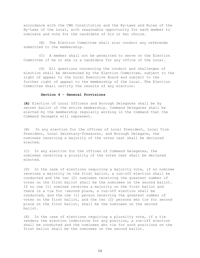accordance with the CWA Constitution and the By-Laws and Rules of the By-Laws of the Local, with reasonable opportunity for each member to nominate and vote for the candidate of his or her choice.

 (B) The Election Committee shall also conduct any referenda submitted to the membership.

 (C) A member shall not be permitted to serve on the Election Committee if he or she is a candidate for any office of the Local.

 (D) All questions concerning the conduct and challenges of election shall be determined by the Election Committee, subject to the right of appeal to the Local Executive Board and subject to the further right of appeal to the membership of the Local. The Election Committee shall certify the results of any election.

#### **Section 4 - General Provisions**

**(A)** Election of Local Officers and Borough Delegates shall be by secret ballot of the entire membership. Command Delegates shall be elected by the membership regularly working in the Command that the Command Delegate will represent.

(B) In any election for the offices of Local President, Local Vice President, Local Secretary-Treasurer, and Borough Delegate, the nominees receiving a majority of the votes cast shall be declared elected.

(C) In any election for the offices of Command Delegates, the nominees receiving a plurality of the votes cast shall be declared elected.

(D) In the case of elections requiring a majority vote, if no nominee receives a majority on the first ballot, a run-off election shall be conducted and the two (2) nominees receiving the greatest number of votes on the first ballot shall be the nominees on the second ballot. If no one (1) nominee receives a majority on the first ballot and there is a tie for -second place, a run-off election shall be conducted, and the one (1) person receiving the greatest number of votes on the first ballot, and the two (2) persons who tie for second place on the first ballot, shall be the nominees on the second ballot.

(E) In the case of elections requiring a plurality vote, if a tie renders the election indecisive for any position, a run-off election shall be conducted and the nominees who tie for such positions on the first ballot shall be the nominees on the second ballot.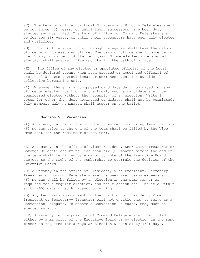(F) The term of office for Local Officers and Borough Delegates shall be for three (3) years, or until their successors have been duly elected and qualified. The term of office for Command Delegates shall be for two (2) years, or until their successors have been duly elected and qualified.

(G) Local Officers and Local Borough Delegates shall take the oath of office prior to assuming office. The term of office shall commence on the 1<sup>st</sup> day of January of the next year. Those elected in a special election shall assume office upon taking the oath of office.

(H) The Office of any elected or appointed official of the Local shall be declared vacant when such elected or appointed official of the Local accepts a provisional or permanent position outside the collective bargaining unit.

(I) Whenever there is an unopposed candidate duly nominated for any office or elected position in the Local, such a candidate shall be considered elected without the necessity of an election. Write in votes for other than duly nominated candidates shall not be permitted. Only members duly nominated shall appear on the ballot.

#### **Section 5 – Vacancies**

(A) A vacancy in the office of Local President occurring less than six (6) months prior to the end of the term shall be filled by the Vice President for the remainder of the term.

(B) A vacancy in the office of Vice-President, Secretary- Treasurer or Borough Delegate occurring less than six (6) months before the end of the term shall be filled by a majority vote of the Executive Board subject to the right of the membership to overrule the decision of the Executive Board.

(C) A vacancy in the office of President, Vice-President, Secretary-Treasurer or Borough Delegate where the unexpired terms exceeds six (6) months shall be filled by an election in the same manner as required for a regular election, and the election shall be held within sixty (60) days of such vacancy occurring.

(D) Any temporary appointment to the position of President, Vice-President or Secretary- Treasurer will not entitle them to serve as a Convention Delegate. To become a Convention Delegate, they must be elected as such.

(E) A vacancy in the position of Command Delegate shall be filled either by a majority of the Executive Board or by election in the same manner as required for a regular election within sixty (60) days.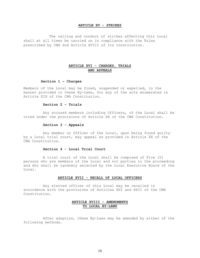## **ARTICLE XV - STRIKES**

The calling and conduct of strikes affecting this Local shall at all times be carried on in compliance with the Rules prescribed by CWA and Article XVIII of its constitution.

## **ARTICLE XVI - CHARGES, TRIALS AND APPEALS**

#### **Section 1 – Charges**

Members of the Local may be fined, suspended or expelled, in the manner provided in these By-Laws, for any of the acts enumerated in Article XIX of the CWA Constitution.

#### **Section 2 - Trials**

Any accused members including Officers, of the Local shall be tried under the provisions of Article XX of the CWA Constitution.

#### **Section 3 - Appeals**

Any member or Officer of the Local, upon being found guilty by a Local trial court, may appeal as provided in Article XX of the CWA Constitution.

## **Section 4 - Local Trial Court**

A trial court of the Local shall be composed of Five (5) persons who are members of the Local and not parties to the proceeding and who shall be randomly selected by the Local Executive Board of the Local.

#### **ARTICLE XVII - RECALL OF LOCAL OFFICERS**

Any elected officer of this Local may be recalled in accordance with the provisions of Articles XXI and XXII of the CWA Constitution.

## **ARTICLE XVIII - AMENDMENTS TO LOCAL BY-LAWS**

After adoption, these By-Laws may be amended by either of the following methods.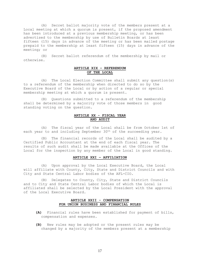(A) Secret ballot majority vote of the members present at a Local meeting at which a quorum is present, if the proposed amendment has been introduced at a previous membership meeting, or has been advertised to the membership by use of Bulletin Boards at least fifteen (15) days in advance of the meeting or has been mailed postage prepaid to the membership at least fifteen (15) days in advance of the meeting; or

 (B) Secret ballot referendum of the membership by mail or otherwise.

## **ARTICLE XIX – REFERENDUM OF THE LOCAL**

(A) The Local Election Committee shall submit any question(s) to a referendum of the membership when directed to do so by the Executive Board of the Local or by action of a regular or special membership meeting at which a quorum is present.

 (B) Questions submitted to a referendum of the membership shall be determined by a majority vote of those members in good standing voting on the question.

## **ARTICLE XX - FISCAL YEAR AND AUDIT**

(A) The fiscal year of the Local shall be from October 1st of each year to and including September  $30<sup>th</sup>$  of the succeeding year.

 (B) The financial records of the Local shall be audited by a Certified Public Accountant at the end of each fiscal year. The results of such audit shall be made available at the Offices of the Local for the inspection by any member of the Local in good standing.

## **ARTICLE XXI – AFFILIATION**

(A) Upon approval by the Local Executive Board, the Local will affiliate with County, City, State and District Councils and with City and State Central Labor bodies of the AFL-CIO.

 (B) Delegates to County, City, State and District Councils and to City and State Central Labor bodies of which the Local is affiliated shall be selected by the Local President with the approval of the Local Executive Board.

## **ARTICLE XXII - COMPENSATION FOR UNION BUSINESS AND FINANCIAL RULES**

- **(A)** Financial rules have been established for payment of bills, compensation and expenses.
- **(B)** New rules may be adopted or the present rules may be changed by a majority of the members present at a membership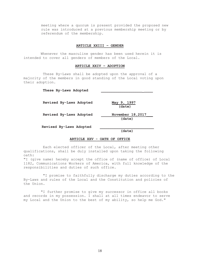meeting where a quorum is present provided the proposed new rule was introduced at a previous membership meeting or by referendum of the membership.

## **ARTICLE XXIII – GENDER**

 Whenever the masculine gender has been used herein it is intended to cover all genders of members of the Local.

#### **ARTICLE XXIV – ADOPTION**

 These By-Laws shall be adopted upon the approval of a majority of the members in good standing of the Local voting upon their adoption.

 **These By-Laws Adopted \_\_\_\_\_\_\_\_\_\_\_\_\_\_\_\_\_\_\_ \_\_\_\_**

 **Revised By-Laws Adopted May 9, 1997**

 **(date)**

Revised By-Laws Adopted <u>November 18,2017</u><br>(date)  **(date)**

 **Revised By-Laws Adopted \_\_\_\_\_\_\_\_\_\_\_\_\_\_\_\_\_\_\_\_\_\_\_\_\_**

 **(date)**

#### **ARTICLE XXV - OATH OF OFFICE**

Each elected officer of the Local, after meeting other qualifications, shall be duly installed upon taking the following oath:

"I (give name) hereby accept the office of (name of office) of Local 1182, Communications Workers of America, with full knowledge of the responsibilities and duties of such office.

 "I promise to faithfully discharge my duties according to the By-Laws and rules of the Local and the Constitution and policies of the Union.

 "I further promise to give my successor in office all books and records in my possession. I shall at all times endeavor to serve my Local and the Union to the best of my ability, so help me God."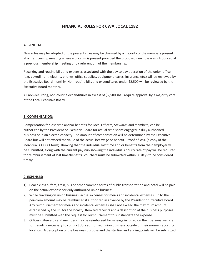## **FINANCIAL RULES FOR CWA LOCAL 1182**

## **A. GENERAL**

New rules may be adopted or the present rules may be changed by a majority of the members present at a membership meeting where a quorum is present provided the proposed new rule was introduced at a previous membership meeting or by referendum of the membership.

Recurring and routine bills and expenses associated with the day to day operation of the union office (e.g. payroll, rent, electric, phones, office supplies, equipment leases, insurance etc.) will be reviewed by the Executive Board monthly. Non-routine bills and expenditures under \$2,500 will be reviewed by the Executive Board monthly.

All non-recurring, non-routine expenditures in excess of \$2,500 shall require approval by a majority vote of the Local Executive Board.

## **B. COMPENSATION:**

Compensation for lost time and/or benefits for Local Officers, Stewards and members, can be authorized by the President or Executive Board for actual time spent engaged in duly authorized business or in an elected capacity. The amount of compensation will be determined by the Executive Board but will not exceed the value of the actual lost wage or benefit. Proof of loss, (a copy of the individual's XXXXX form) showing that the individual lost time and or benefits from their employer will be submitted, along with the current paystub showing the individuals hourly rate of pay will be required for reimbursement of lost time/benefits. Vouchers must be submitted within 90 days to be considered timely.

## **C. EXPENSES:**

- 1) Coach class airfare, train, bus or other common forms of public transportation and hotel will be paid on the actual expense for duly authorized union business.
- 2) While traveling on union business, actual expenses for meals and incidental expenses, up to the IRS per-diem amount may be reimbursed if authorized in advance by the President or Executive Board. Any reimbursement for meals and incidental expenses shall not exceed the maximum amount established by the IRS for the locality. Itemized receipts and a description of the business purposes must be submitted with the request for reimbursement to substantiate the expense.
- 3) Officers, Stewards and members may be reimbursed for mileage incurred on their personal vehicle for traveling necessary to conduct duly authorized union business outside of their normal reporting location. A description of the business purpose and the starting and ending points will be submitted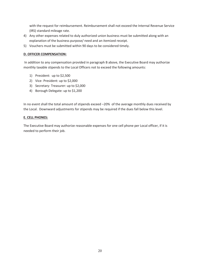with the request for reimbursement. Reimbursement shall not exceed the Internal Revenue Service (IRS) standard mileage rate.

- 4) Any other expenses related to duly authorized union business must be submitted along with an explanation of the business purpose/ need and an itemized receipt.
- 5) Vouchers must be submitted within 90 days to be considered timely.

## **D. OFFICER COMPENSATION:**

In addition to any compensation provided in paragraph B above, the Executive Board may authorize monthly taxable stipends to the Local Officers not to exceed the following amounts:

- 1) President: up to \$2,500
- 2) Vice- President: up to \$2,000
- 3) Secretary- Treasurer: up to \$2,000
- 4) Borough Delegate: up to \$1,200

In no event shall the total amount of stipends exceed –20% of the average monthly dues received by the Local. Downward adjustments for stipends may be required if the dues fall below this level.

## **E. CELL PHONES:**

The Executive Board may authorize reasonable expenses for one cell phone per Local officer, if it is needed to perform their job.